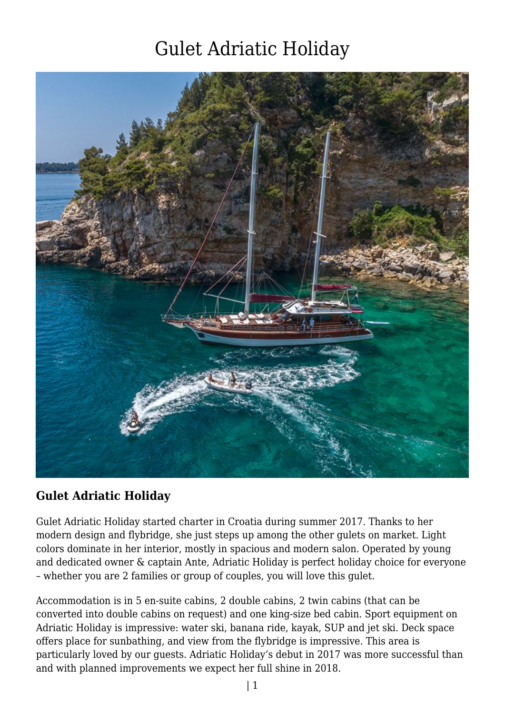

### **Gulet Adriatic Holiday**

Gulet Adriatic Holiday started charter in Croatia during summer 2017. Thanks to her modern design and flybridge, she just steps up among the other gulets on market. Light colors dominate in her interior, mostly in spacious and modern salon. Operated by young and dedicated owner & captain Ante, Adriatic Holiday is perfect holiday choice for everyone – whether you are 2 families or group of couples, you will love this gulet.

Accommodation is in 5 en-suite cabins, 2 double cabins, 2 twin cabins (that can be converted into double cabins on request) and one king-size bed cabin. Sport equipment on Adriatic Holiday is impressive: water ski, banana ride, kayak, SUP and jet ski. Deck space offers place for sunbathing, and view from the flybridge is impressive. This area is particularly loved by our guests. Adriatic Holiday's debut in 2017 was more successful than and with planned improvements we expect her full shine in 2018.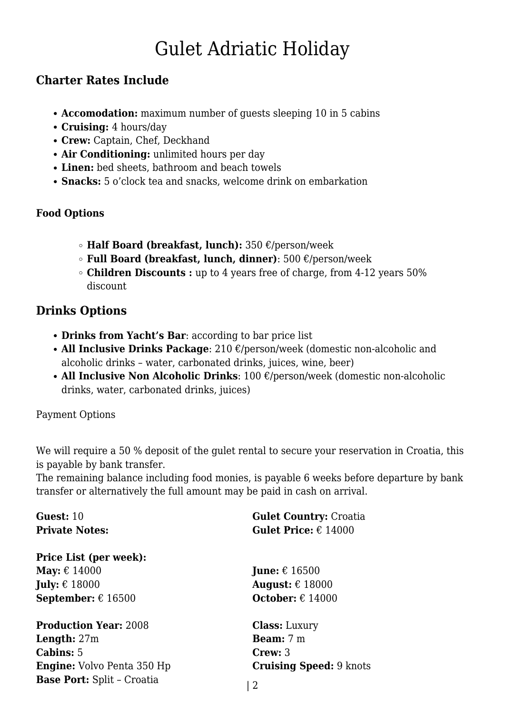### **Charter Rates Include**

- **Accomodation:** maximum number of guests sleeping 10 in 5 cabins
- **Cruising:** 4 hours/day
- **Crew:** Captain, Chef, Deckhand
- **Air Conditioning:** unlimited hours per day
- **Linen:** bed sheets, bathroom and beach towels
- **Snacks:** 5 o'clock tea and snacks, welcome drink on embarkation

#### **Food Options**

- **Half Board (breakfast, lunch):** 350 €/person/week
- **Full Board (breakfast, lunch, dinner)**: 500 €/person/week
- **Children Discounts :** up to 4 years free of charge, from 4-12 years 50% discount

### **Drinks Options**

- **Drinks from Yacht's Bar**: according to bar price list
- **All Inclusive Drinks Package**: 210 €/person/week (domestic non-alcoholic and alcoholic drinks – water, carbonated drinks, juices, wine, beer)
- **All Inclusive Non Alcoholic Drinks**: 100 €/person/week (domestic non-alcoholic drinks, water, carbonated drinks, juices)

Payment Options

We will require a 50 % deposit of the gulet rental to secure your reservation in Croatia, this is payable by bank transfer.

The remaining balance including food monies, is payable 6 weeks before departure by bank transfer or alternatively the full amount may be paid in cash on arrival.

| Guest: 10                          | <b>Gulet Country: Croatia</b>        |
|------------------------------------|--------------------------------------|
| <b>Private Notes:</b>              | <b>Gulet Price:</b> $\epsilon$ 14000 |
| <b>Price List (per week):</b>      |                                      |
| May: $\epsilon$ 14000              | <b>June:</b> $\epsilon$ 16500        |
| <b>July:</b> $\epsilon$ 18000      | August: $\epsilon$ 18000             |
| <b>September:</b> $\epsilon$ 16500 | <b>October:</b> $\epsilon$ 14000     |
| <b>Production Year: 2008</b>       | <b>Class:</b> Luxury                 |
| <b>Length:</b> $27m$               | <b>Beam:</b> $7 \text{ m}$           |
| <b>Cabins:</b> 5                   | Crew: 3                              |
| <b>Engine:</b> Volvo Penta 350 Hp  | <b>Cruising Speed: 9 knots</b>       |
| <b>Base Port:</b> Split - Croatia  | 2                                    |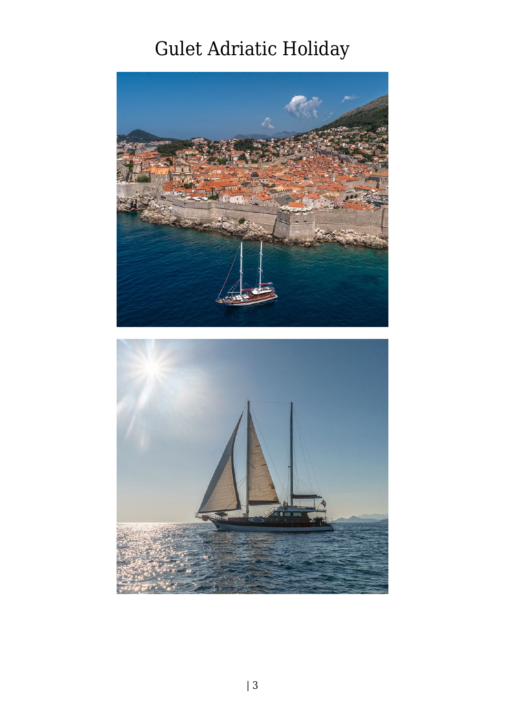

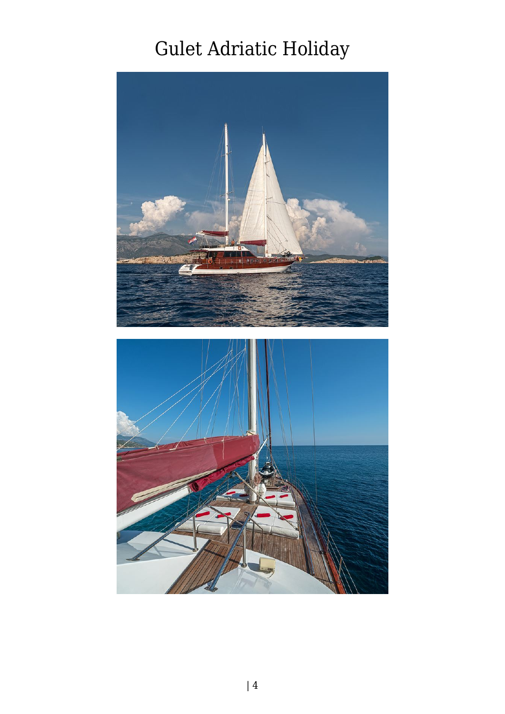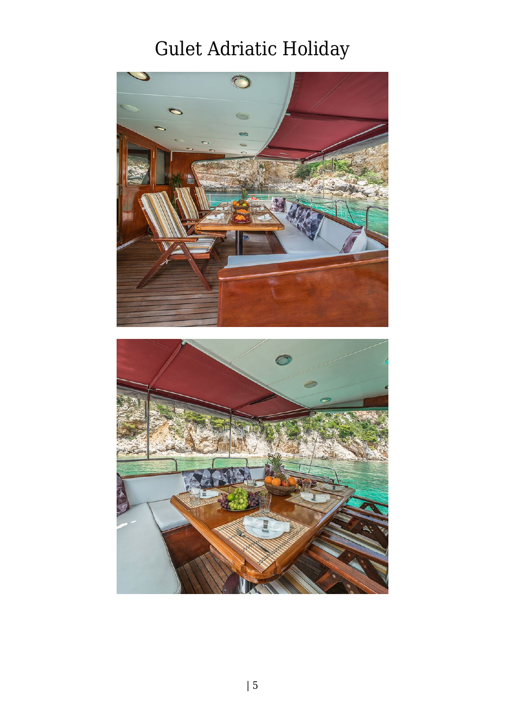